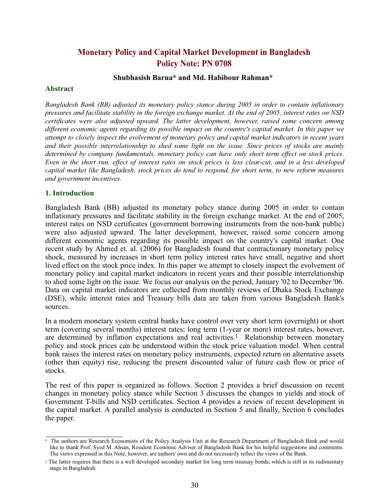# **Monetary Policy and Capital Market Development in Bangladesh Policy Note: PN 0708**

# **Shubhasish Barua\* and Md. Habibour Rahman\***

#### **Abstract**

*Bangladesh Bank (BB) adjusted its monetary policy stance during 2005 in order to contain inflationary pressures and facilitate stability in the foreign exchange market. At the end of 2005, interest rates on NSD certificates were also adjusted upward. The latter development, however, raised some concern among different economic agents regarding its possible impact on the country's capital market. In this paper we attempt to closely inspect the evolvement of monetary policy and capital market indicators in recent years and their possible interrelationship to shed some light on the issue. Since prices of stocks are mainly determined by company fundamentals, monetary policy can have only short term effect on stock prices. Even in the short run, effect of interest rates on stock prices is less clear-cut, and in a less developed capital market like Bangladesh, stock prices do tend to respond, for short term, to new reform measures and government incentives.*

#### **1. Introduction**

Bangladesh Bank (BB) adjusted its monetary policy stance during 2005 in order to contain inflationary pressures and facilitate stability in the foreign exchange market. At the end of 2005, interest rates on NSD certificates (government borrowing instruments from the non-bank public) were also adjusted upward. The latter development, however, raised some concern among different economic agents regarding its possible impact on the country's capital market. One recent study by Ahmed et. al. (2006) for Bangladesh found that contractionary monetary policy shock, measured by increases in short term policy interest rates have small, negative and short lived effect on the stock price index. In this paper we attempt to closely inspect the evolvement of monetary policy and capital market indicators in recent years and their possible interrelationship to shed some light on the issue. We focus our analysis on the period, January '02 to December '06. Data on capital market indicators are collected from monthly reviews of Dhaka Stock Exchange (DSE), while interest rates and Treasury bills data are taken from various Bangladesh Bank's sources.

In a modern monetary system central banks have control over very short term (overnight) or short term (covering several months) interest rates; long term (1-year or more) interest rates, however, are determined by inflation expectations and real activities.<sup>1</sup> Relationship between monetary policy and stock prices can be understood within the stock price valuation model. When central bank raises the interest rates on monetary policy instruments, expected return on alternative assets (other than equity) rise, reducing the present discounted value of future cash flow or price of stocks.

The rest of this paper is organized as follows. Section 2 provides a brief discussion on recent changes in monetary policy stance while Section 3 discusses the changes in yields and stock of Government T-bills and NSD certificates. Section 4 provides a review of recent development in the capital market. A parallel analysis is conducted in Section 5 and finally, Section 6 concludes the paper.

<sup>\*</sup> The authors are Research Economists of the Policy Analysis Unit at the Research Department of Bangladesh Bank and would like to thank Prof. Syed M. Ahsan, Resident Economic Adviser of Bangladesh Bank for his helpful suggestions and comments. The views expressed in this Note, however, are authors' own and do not necessarily reflect the views of the Bank.

<sup>1</sup> The latter requires that there is a well developed secondary market for long term treasury bonds, which is still in its rudimentary stage in Bangladesh.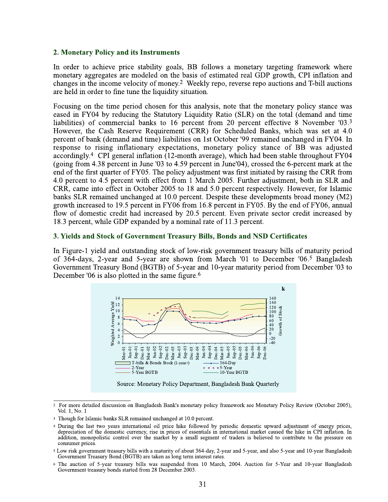# 2. Monetary Policy and its Instruments

In order to achieve price stability goals, BB follows a monetary targeting framework where monetary aggregates are modeled on the basis of estimated real GDP growth, CPI inflation and changes in the income velocity of money.<sup>2</sup> Weekly repo, reverse repo auctions and T-bill auctions are held in order to fine tune the liquidity situation.

Focusing on the time period chosen for this analysis, note that the monetary policy stance was eased in FY04 by reducing the Statutory Liquidity Ratio (SLR) on the total (demand and time liabilities) of commercial banks to 16 percent from 20 percent effective 8 November '03.3 However, the Cash Reserve Requirement (CRR) for Scheduled Banks, which was set at 4.0 percent of bank (demand and time) liabilities on 1st October '99 remained unchanged in FY04. In response to rising inflationary expectations, monetary policy stance of BB was adjusted accordingly.<sup>4</sup> CPI general inflation (12-month average), which had been stable throughout FY04 (going from 4.38 percent in June '03 to 4.59 percent in June'04), crossed the 6-percent mark at the end of the first quarter of FY05. The policy adjustment was first initiated by raising the CRR from 4.0 percent to 4.5 percent with effect from 1 March 2005. Further adjustment, both in SLR and CRR, came into effect in October 2005 to 18 and 5.0 percent respectively. However, for Islamic banks SLR remained unchanged at 10.0 percent. Despite these developments broad money (M2) growth increased to 19.5 percent in FY06 from 16.8 percent in FY05. By the end of FY06, annual flow of domestic credit had increased by 20.5 percent. Even private sector credit increased by 18.3 percent, while GDP expanded by a nominal rate of 11.3 percent.

#### 3. Yields and Stock of Government Treasury Bills, Bonds and NSD Certificates

In Figure-1 yield and outstanding stock of low-risk government treasury bills of maturity period of 364-days, 2-year and 5-year are shown from March '01 to December '06.<sup>5</sup> Bangladesh Government Treasury Bond (BGTB) of 5-year and 10-year maturity period from December '03 to December '06 is also plotted in the same figure.<sup>6</sup>



<sup>&</sup>lt;sup>2</sup> For more detailed discussion on Bangladesh Bank's monetary policy framework see Monetary Policy Review (October 2005), Vol. 1, No. 1

<sup>&</sup>lt;sup>3</sup> Though for Islamic banks SLR remained unchanged at 10.0 percent.

<sup>4</sup> During the last two years international oil price hike followed by periodic domestic upward adjustment of energy prices, depreciation of the domestic currency, rise in prices of essentials in international market caused the hike in CPI inflation. In addition, monopolistic control over the market by a small segment of traders is believed to contribute to the pressure on consumer prices.

<sup>&</sup>lt;sup>5</sup> Low risk government treasury bills with a maturity of about 364-day, 2-year and 5-year, and also 5-year and 10-year Bangladesh Government Treasury Bond (BGTB) are taken as long term interest rates.

<sup>&</sup>lt;sup>6</sup> The auction of 5-year treasury bills was suspended from 10 March, 2004. Auction for 5-Year and 10-year Bangladesh Government treasury bonds started from 28 December 2003.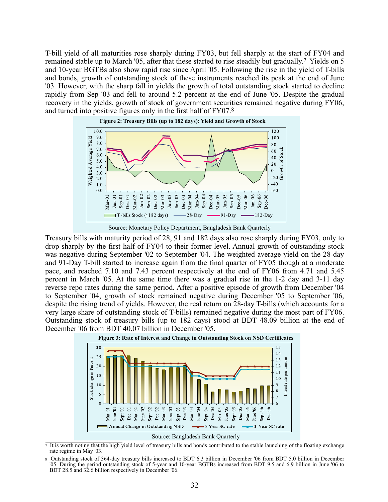T-bill yield of all maturities rose sharply during FY03, but fell sharply at the start of FY04 and remained stable up to March '05, after that these started to rise steadily but gradually.7 Yields on 5 and 10-year BGTBs also show rapid rise since April '05. Following the rise in the yield of T-bills and bonds, growth of outstanding stock of these instruments reached its peak at the end of June '03. However, with the sharp fall in yields the growth of total outstanding stock started to decline rapidly from Sep '03 and fell to around 5.2 percent at the end of June '05. Despite the gradual recovery in the yields, growth of stock of government securities remained negative during FY06, and turned into positive figures only in the first half of FY07.8



Source: Monetary Policy Department, Bangladesh Bank Quarterly

Treasury bills with maturity period of 28, 91 and 182 days also rose sharply during FY03, only to drop sharply by the first half of FY04 to their former level. Annual growth of outstanding stock was negative during September '02 to September '04. The weighted average yield on the 28-day and 91-Day T-bill started to increase again from the final quarter of FY05 though at a moderate pace, and reached 7.10 and 7.43 percent respectively at the end of FY06 from 4.71 and 5.45 percent in March '05. At the same time there was a gradual rise in the 1-2 day and 3-11 day reverse repo rates during the same period. After a positive episode of growth from December '04 to September '04, growth of stock remained negative during December '05 to September '06, despite the rising trend of yields. However, the real return on 28-day T-bills (which accounts for a very large share of outstanding stock of T-bills) remained negative during the most part of FY06. Outstanding stock of treasury bills (up to 182 days) stood at BDT 48.09 billion at the end of December '06 from BDT 40.07 billion in December '05.



 $\frac{1}{7}$  It is worth noting that the high yield level of treasury bills and bonds contributed to the stable launching of the floating exchange rate regime in May '03.

<sup>8</sup> Outstanding stock of 364-day treasury bills increased to BDT 6.3 billion in December '06 from BDT 5.0 billion in December '05. During the period outstanding stock of 5-year and 10-year BGTBs increased from BDT 9.5 and 6.9 billion in June '06 to BDT 28.5 and 32.6 billion respectively in December '06.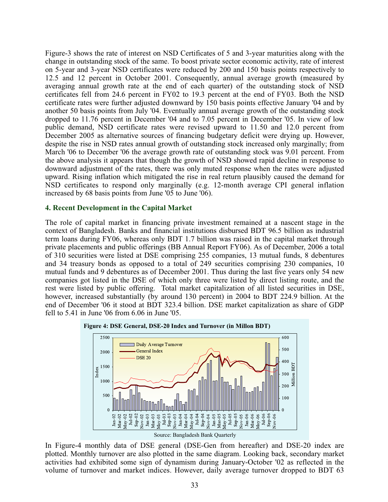Figure-3 shows the rate of interest on NSD Certificates of 5 and 3-year maturities along with the change in outstanding stock of the same. To boost private sector economic activity, rate of interest on 5-year and 3-year NSD certificates were reduced by 200 and 150 basis points respectively to 12.5 and 12 percent in October 2001. Consequently, annual average growth (measured by averaging annual growth rate at the end of each quarter) of the outstanding stock of NSD certificates fell from 24.6 percent in FY02 to 19.3 percent at the end of FY03. Both the NSD certificate rates were further adjusted downward by 150 basis points effective January '04 and by another 50 basis points from July '04. Eventually annual average growth of the outstanding stock dropped to 11.76 percent in December '04 and to 7.05 percent in December '05. In view of low public demand, NSD certificate rates were revised upward to 11.50 and 12.0 percent from December 2005 as alternative sources of financing budgetary deficit were drying up. However, despite the rise in NSD rates annual growth of outstanding stock increased only marginally; from March '06 to December '06 the average growth rate of outstanding stock was 9.01 percent. From the above analysis it appears that though the growth of NSD showed rapid decline in response to downward adjustment of the rates, there was only muted response when the rates were adjusted upward. Rising inflation which mitigated the rise in real return plausibly caused the demand for NSD certificates to respond only marginally (e.g. 12-month average CPI general inflation increased by 68 basis points from June '05 to June '06).

## **4. Recent Development in the Capital Market**

The role of capital market in financing private investment remained at a nascent stage in the context of Bangladesh. Banks and financial institutions disbursed BDT 96.5 billion as industrial term loans during FY06, whereas only BDT 1.7 billion was raised in the capital market through private placements and public offerings (BB Annual Report FY06). As of December, 2006 a total of 310 securities were listed at DSE comprising 255 companies, 13 mutual funds, 8 debentures and 34 treasury bonds as opposed to a total of 249 securities comprising 230 companies, 10 mutual funds and 9 debentures as of December 2001. Thus during the last five years only 54 new companies got listed in the DSE of which only three were listed by direct listing route, and the rest were listed by public offering. Total market capitalization of all listed securities in DSE, however, increased substantially (by around 130 percent) in 2004 to BDT 224.9 billion. At the end of December '06 it stood at BDT 323.4 billion. DSE market capitalization as share of GDP fell to 5.41 in June '06 from 6.06 in June '05.



In Figure-4 monthly data of DSE general (DSE-Gen from hereafter) and DSE-20 index are plotted. Monthly turnover are also plotted in the same diagram. Looking back, secondary market activities had exhibited some sign of dynamism during January-October '02 as reflected in the volume of turnover and market indices. However, daily average turnover dropped to BDT 63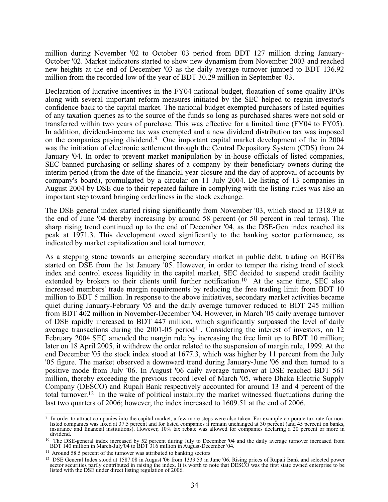million during November '02 to October '03 period from BDT 127 million during January-October '02. Market indicators started to show new dynamism from November 2003 and reached new heights at the end of December '03 as the daily average turnover jumped to BDT 136.92 million from the recorded low of the year of BDT 30.29 million in September '03.

Declaration of lucrative incentives in the FY04 national budget, floatation of some quality IPOs along with several important reform measures initiated by the SEC helped to regain investor's confidence back to the capital market. The national budget exempted purchasers of listed equities of any taxation queries as to the source of the funds so long as purchased shares were not sold or transferred within two years of purchase. This was effective for a limited time (FY04 to FY05). In addition, dividend-income tax was exempted and a new dividend distribution tax was imposed on the companies paying dividend.9 One important capital market development of the in 2004 was the initiation of electronic settlement through the Central Depository System (CDS) from 24 January '04. In order to prevent market manipulation by in-house officials of listed companies, SEC banned purchasing or selling shares of a company by their beneficiary owners during the interim period (from the date of the financial year closure and the day of approval of accounts by company's board), promulgated by a circular on 11 July 2004. De-listing of 13 companies in August 2004 by DSE due to their repeated failure in complying with the listing rules was also an important step toward bringing orderliness in the stock exchange.

The DSE general index started rising significantly from November '03, which stood at 1318.9 at the end of June '04 thereby increasing by around 58 percent (or 50 percent in real terms). The sharp rising trend continued up to the end of December '04, as the DSE-Gen index reached its peak at 1971.3. This development owed significantly to the banking sector performance, as indicated by market capitalization and total turnover.

As a stepping stone towards an emerging secondary market in public debt, trading on BGTBs started on DSE from the 1st January '05. However, in order to temper the rising trend of stock index and control excess liquidity in the capital market, SEC decided to suspend credit facility extended by brokers to their clients until further notification.<sup>10</sup> At the same time, SEC also increased members' trade margin requirements by reducing the free trading limit from BDT 10 million to BDT 5 million. In response to the above initiatives, secondary market activities became quiet during January-February '05 and the daily average turnover reduced to BDT 245 million from BDT 402 million in November-December '04. However, in March '05 daily average turnover of DSE rapidly increased to BDT 447 million, which significantly surpassed the level of daily average transactions during the  $2001-05$  period<sup>11</sup>. Considering the interest of investors, on 12 February 2004 SEC amended the margin rule by increasing the free limit up to BDT 10 million; later on 18 April 2005, it withdrew the order related to the suspension of margin rule, 1999. At the end December '05 the stock index stood at 1677.3, which was higher by 11 percent from the July '05 figure. The market observed a downward trend during January-June '06 and then turned to a positive mode from July '06. In August '06 daily average turnover at DSE reached BDT 561 million, thereby exceeding the previous record level of March '05, where Dhaka Electric Supply Company (DESCO) and Rupali Bank respectively accounted for around 13 and 4 percent of the total turnover.12 In the wake of political instability the market witnessed fluctuations during the last two quarters of 2006; however, the index increased to 1609.51 at the end of 2006.

<sup>&</sup>lt;sup>9</sup> In order to attract companies into the capital market, a few more steps were also taken. For example corporate tax rate for nonlisted companies was fixed at 37.5 percent and for listed companies it remain unchanged at 30 percent (and 45 percent on banks, insurance and financial institutions). However, 10% tax rebate was allowed for companies declaring a 20 percent or more in dividend.

<sup>&</sup>lt;sup>10</sup> The DSE-general index increased by 52 percent during July to December '04 and the daily average turnover increased from BDT 140 million in March-July'04 to BDT 316 million in August-December '04.

<sup>&</sup>lt;sup>11</sup> Around 58.5 percent of the turnover was attributed to banking sectors

<sup>&</sup>lt;sup>12</sup> DSE General Index stood at 1587.08 in August '06 from 1339.53 in June '06. Rising prices of Rupali Bank and selected power sector securities partly contributed in raising the index. It is worth to note that DESCO was the first state owned enterprise to be listed with the DSE under direct listing regulation of 2006.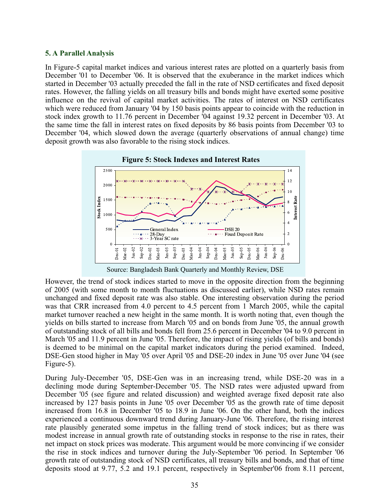# **5. A Parallel Analysis**

In Figure-5 capital market indices and various interest rates are plotted on a quarterly basis from December '01 to December '06. It is observed that the exuberance in the market indices which started in December '03 actually preceded the fall in the rate of NSD certificates and fixed deposit rates. However, the falling yields on all treasury bills and bonds might have exerted some positive influence on the revival of capital market activities. The rates of interest on NSD certificates which were reduced from January '04 by 150 basis points appear to coincide with the reduction in stock index growth to 11.76 percent in December '04 against 19.32 percent in December '03. At the same time the fall in interest rates on fixed deposits by 86 basis points from December '03 to December '04, which slowed down the average (quarterly observations of annual change) time deposit growth was also favorable to the rising stock indices.



Source: Bangladesh Bank Quarterly and Monthly Review, DSE

However, the trend of stock indices started to move in the opposite direction from the beginning of 2005 (with some month to month fluctuations as discussed earlier), while NSD rates remain unchanged and fixed deposit rate was also stable. One interesting observation during the period was that CRR increased from 4.0 percent to 4.5 percent from 1 March 2005, while the capital market turnover reached a new height in the same month. It is worth noting that, even though the yields on bills started to increase from March '05 and on bonds from June '05, the annual growth of outstanding stock of all bills and bonds fell from 25.6 percent in December '04 to 9.0 percent in March '05 and 11.9 percent in June '05. Therefore, the impact of rising yields (of bills and bonds) is deemed to be minimal on the capital market indicators during the period examined. Indeed, DSE-Gen stood higher in May '05 over April '05 and DSE-20 index in June '05 over June '04 (see Figure-5).

During July-December '05, DSE-Gen was in an increasing trend, while DSE-20 was in a declining mode during September-December '05. The NSD rates were adjusted upward from December '05 (see figure and related discussion) and weighted average fixed deposit rate also increased by 127 basis points in June '05 over December '05 as the growth rate of time deposit increased from 16.8 in December '05 to 18.9 in June '06. On the other hand, both the indices experienced a continuous downward trend during January-June '06. Therefore, the rising interest rate plausibly generated some impetus in the falling trend of stock indices; but as there was modest increase in annual growth rate of outstanding stocks in response to the rise in rates, their net impact on stock prices was moderate. This argument would be more convincing if we consider the rise in stock indices and turnover during the July-September '06 period. In September '06 growth rate of outstanding stock of NSD certificates, all treasury bills and bonds, and that of time deposits stood at 9.77, 5.2 and 19.1 percent, respectively in September'06 from 8.11 percent,